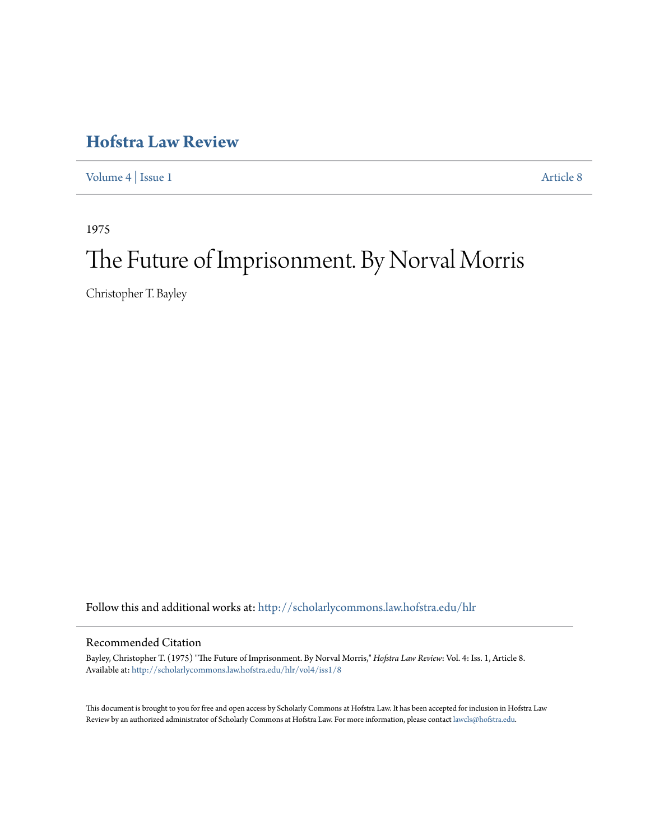## **[Hofstra Law Review](http://scholarlycommons.law.hofstra.edu/hlr?utm_source=scholarlycommons.law.hofstra.edu%2Fhlr%2Fvol4%2Fiss1%2F8&utm_medium=PDF&utm_campaign=PDFCoverPages)**

[Volume 4](http://scholarlycommons.law.hofstra.edu/hlr/vol4?utm_source=scholarlycommons.law.hofstra.edu%2Fhlr%2Fvol4%2Fiss1%2F8&utm_medium=PDF&utm_campaign=PDFCoverPages) | [Issue 1](http://scholarlycommons.law.hofstra.edu/hlr/vol4/iss1?utm_source=scholarlycommons.law.hofstra.edu%2Fhlr%2Fvol4%2Fiss1%2F8&utm_medium=PDF&utm_campaign=PDFCoverPages) [Article 8](http://scholarlycommons.law.hofstra.edu/hlr/vol4/iss1/8?utm_source=scholarlycommons.law.hofstra.edu%2Fhlr%2Fvol4%2Fiss1%2F8&utm_medium=PDF&utm_campaign=PDFCoverPages)

1975

# The Future of Imprisonment. By Norval Morris

Christopher T. Bayley

Follow this and additional works at: [http://scholarlycommons.law.hofstra.edu/hlr](http://scholarlycommons.law.hofstra.edu/hlr?utm_source=scholarlycommons.law.hofstra.edu%2Fhlr%2Fvol4%2Fiss1%2F8&utm_medium=PDF&utm_campaign=PDFCoverPages)

#### Recommended Citation

Bayley, Christopher T. (1975) "The Future of Imprisonment. By Norval Morris," *Hofstra Law Review*: Vol. 4: Iss. 1, Article 8. Available at: [http://scholarlycommons.law.hofstra.edu/hlr/vol4/iss1/8](http://scholarlycommons.law.hofstra.edu/hlr/vol4/iss1/8?utm_source=scholarlycommons.law.hofstra.edu%2Fhlr%2Fvol4%2Fiss1%2F8&utm_medium=PDF&utm_campaign=PDFCoverPages)

This document is brought to you for free and open access by Scholarly Commons at Hofstra Law. It has been accepted for inclusion in Hofstra Law Review by an authorized administrator of Scholarly Commons at Hofstra Law. For more information, please contact [lawcls@hofstra.edu](mailto:lawcls@hofstra.edu).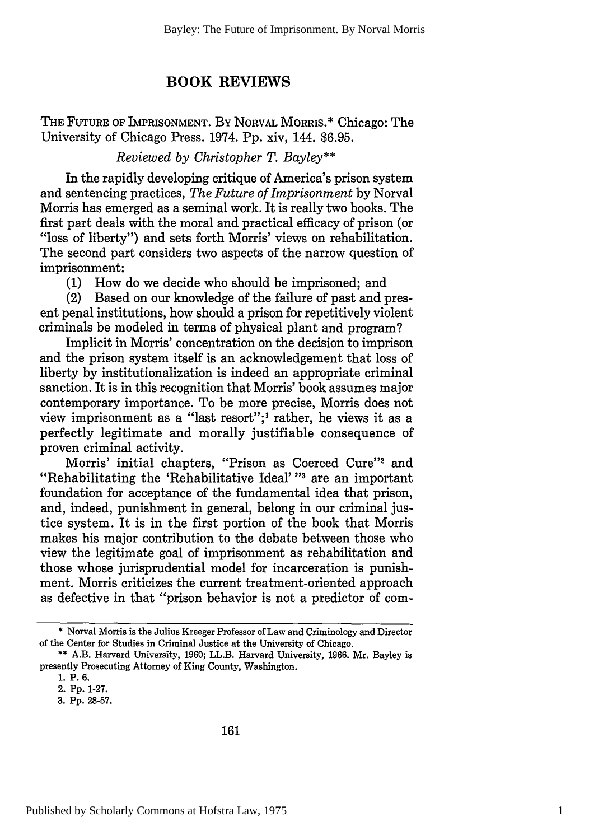### **BOOK REVIEWS**

THE FUTURE OF IMPRISONMENT. By NORVAL MORRIS.\* Chicago: The University of Chicago Press. 1974. Pp. xiv, 144. \$6.95.

*Reviewed by Christopher T. Bayley\*\**

In the rapidly developing critique of America's prison system and sentencing practices, *The Future of Imprisonment* by Norval Morris has emerged as a seminal work. It is really two books. The first part deals with the moral and practical efficacy of prison (or "loss of liberty") and sets forth Morris' views on rehabilitation. The second part considers two aspects of the narrow question of imprisonment:

(1) How do we decide who should be imprisoned; and

(2) Based on our knowledge of the failure of past and present penal institutions, how should a prison for repetitively violent criminals be modeled in terms of physical plant and program?

Implicit in Morris' concentration on the decision to imprison and the prison system itself is an acknowledgement that loss of liberty by institutionalization is indeed an appropriate criminal sanction. It is in this recognition that Morris' book assumes major contemporary importance. To be more precise, Morris does not view imprisonment as a "last resort";' rather, he views it as a perfectly legitimate and morally justifiable consequence of proven criminal activity.

Morris' initial chapters, "Prison as Coerced Cure"2 and "Rehabilitating the 'Rehabilitative Ideal' "3 are an important foundation for acceptance of the fundamental idea that prison, and, indeed, punishment in general, belong in our criminal justice system. It is in the first portion of the book that Morris makes his major contribution to the debate between those who view the legitimate goal of imprisonment as rehabilitation and those whose jurisprudential model for incarceration is punishment. Morris criticizes the current treatment-oriented approach as defective in that "prison behavior is not a predictor of com-

<sup>\*</sup> Norval Morris is the Julius Kreeger Professor of Law and Criminology and Director of the Center for Studies in Criminal Justice at the University of Chicago.

<sup>\*\*</sup> A.B. Harvard University, 1960; LL.B. Harvard University, 1966. Mr. Bayley is presently Prosecuting Attorney of King County, Washington.

<sup>1.</sup> P. 6.

<sup>2.</sup> Pp. 1-27.

<sup>3.</sup> Pp. 28-57.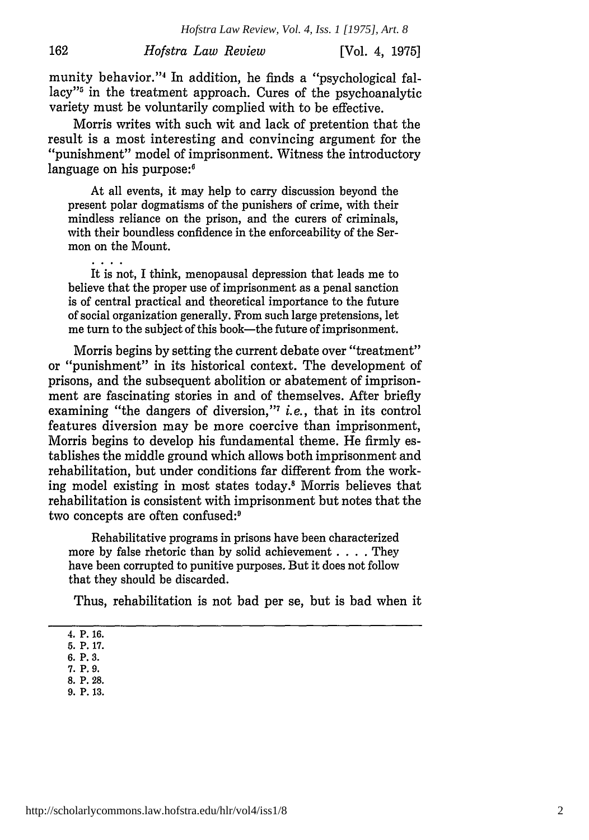#### *Hofstra Law Review*

162

 $\mathbf{1}$  .  $\mathbf{1}$ 

munity behavior."4 In addition, he finds a "psychological fallacy"<sup>5</sup> in the treatment approach. Cures of the psychoanalytic variety must be voluntarily complied with to be effective.

Morris writes with such wit and lack of pretention that the result is a most interesting and convincing argument for the "punishment" model of imprisonment. Witness the introductory language on his purpose:<sup>6</sup>

At all events, it may help to carry discussion beyond the present polar dogmatisms of the punishers of crime, with their mindless reliance on the prison, and the curers of criminals, with their boundless confidence in the enforceability of the Sermon on the Mount.

It is not, I think, menopausal depression that leads me to believe that the proper use of imprisonment as a penal sanction is of central practical and theoretical importance to the future of social organization generally. From such large pretensions, let me turn to the subject of this book-the future of imprisonment.

Morris begins by setting the current debate over "treatment" or "punishment" in its historical context. The development of prisons, and the subsequent abolition or abatement of imprisonment are fascinating stories in and of themselves. After briefly examining "the dangers of diversion,"7 *i.e.,* that in its control features diversion may be more coercive than imprisonment, Morris begins to develop his fundamental theme. He firmly establishes the middle ground which allows both imprisonment and rehabilitation, but under conditions far different from the working model existing in most states today.8 Morris believes that rehabilitation is consistent with imprisonment but notes that the two concepts are often confused:9

Rehabilitative programs in prisons have been characterized more by false rhetoric than by solid achievement . **. .** . They have been corrupted to punitive purposes. But it does not follow that they should be discarded.

Thus, rehabilitation is not bad per se, but is bad when it

<sup>4.</sup> P. **16.**

**<sup>5.</sup>** P. **17.**

**<sup>6.</sup>** P. **3.**

**<sup>7.</sup>** P. **9. 8.** P. **28.**

**<sup>9.</sup>** P. **13.**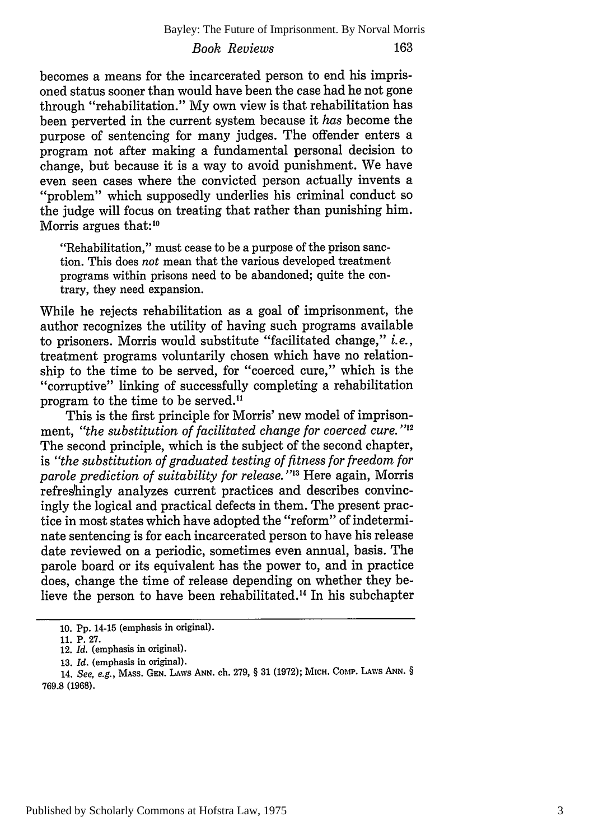becomes a means for the incarcerated person to end his imprisoned status sooner than would have been the case had he not gone through "rehabilitation." My own view is that rehabilitation has been perverted in the current system because it *has* become the purpose of sentencing for many judges. The offender enters a program not after making a fundamental personal decision to change, but because it is a way to avoid punishment. We have even seen cases where the convicted person actually invents a "problem" which supposedly underlies his criminal conduct so the judge will focus on treating that rather than punishing him. Morris argues that:<sup>10</sup>

"Rehabilitation," must cease to be a purpose of the prison sanction. This does *not* mean that the various developed treatment programs within prisons need to be abandoned; quite the contrary, they need expansion.

While he rejects rehabilitation as a goal of imprisonment, the author recognizes the utility of having such programs available to prisoners. Morris would substitute "facilitated change," *i.e.,* treatment programs voluntarily chosen which have no relationship to the time to be served, for "coerced cure," which is the ''corruptive" linking of successfully completing a rehabilitation program to the time to be served."

This is the first principle for Morris' new model of imprisonment, *"the substitution of facilitated change for coerced cure. "I2* The second principle, which is the subject of the second chapter, is *"the substitution of graduated testing of fitness for freedom for parole prediction of suitability for release. ",'3* Here again, Morris refreshingly analyzes current practices and describes convincingly the logical and practical defects in them. The present practice in most states which have adopted the "reform" of indeterminate sentencing is for each incarcerated person to have his release date reviewed on a periodic, sometimes even annual, basis. The parole board or its equivalent has the power to, and in practice does, change the time of release depending on whether they believe the person to have been rehabilitated.<sup>14</sup> In his subchapter

**<sup>10.</sup> Pp.** 14-15 (emphasis in original).

<sup>11.</sup> P. 27.

<sup>12.</sup> *Id.* (emphasis in original).

<sup>13.</sup> *Id.* (emphasis in original).

<sup>14.</sup> *See, e.g.,* **MASS. GEN. LAWS** ANN. ch. 279, § 31 (1972); **MicH.** CoMiP. **LAWS** ANN. § 769.8 (1968).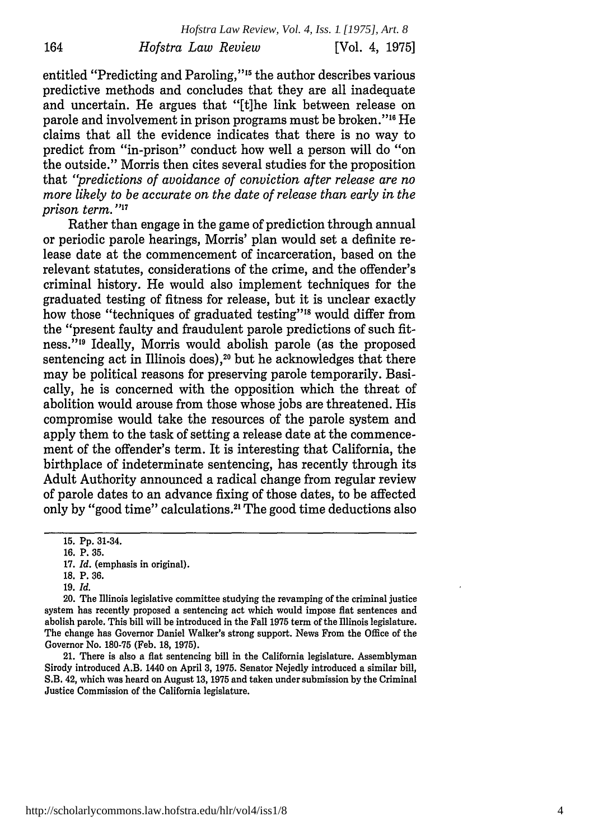entitled "Predicting and Paroling,"<sup>15</sup> the author describes various predictive methods and concludes that they are all inadequate and uncertain. He argues that "[tihe link between release on parole and involvement in prison programs must be broken."<sup>16</sup> He claims that all the evidence indicates that there is no way to predict from "in-prison" conduct how well a person will do "on the outside." Morris then cites several studies for the proposition that *"predictions of avoidance of conviction after release are no more likely to be accurate on the date of release than early in the prison term.* **"7**

Rather than engage in the game of prediction through annual or periodic parole hearings, Morris' plan would set a definite release date at the commencement of incarceration, based on the relevant statutes, considerations of the crime, and the offender's criminal history. He would also implement techniques for the graduated testing of fitness for release, but it is unclear exactly how those "techniques of graduated testing"<sup>18</sup> would differ from the "present faulty and fraudulent parole predictions of such fitness."<sup>19</sup> Ideally, Morris would abolish parole (as the proposed sentencing act in Illinois does),<sup>20</sup> but he acknowledges that there may be political reasons for preserving parole temporarily. Basically, he is concerned with the opposition which the threat of abolition would arouse from those whose jobs are threatened. His compromise would take the resources of the parole system and apply them to the task of setting a release date at the commencement of the offender's term. It is interesting that California, the birthplace of indeterminate sentencing, has recently through its Adult Authority announced a radical change from regular review of parole dates to an advance fixing of those dates, to be affected only by "good time" calculations.<sup>21</sup> The good time deductions also

17. *Id.* (emphasis in original).

21. There is also a flat sentencing bill in the California legislature. Assemblyman Sirody introduced A.B. 1440 on April 3, 1975. Senator Nejedly introduced a similar bill, S.B. 42, which was heard on August 13, 1975 and taken under submission by the Criminal Justice Commission of the California legislature.

<sup>15.</sup> **Pp.** 31-34.

**<sup>16.</sup>** P. **35.**

<sup>18.</sup> P. **36.**

<sup>19.</sup> *Id.*

<sup>20.</sup> The Illinois legislative committee studying the revamping of the criminal justice system has recently proposed a sentencing act which would impose flat sentences and abolish parole. This bill will be introduced in the Fall 1975 term of the Illinois legislature. The change has Governor Daniel Walker's strong support. News From the Office of the Governor No. 180-75 (Feb. 18, 1975).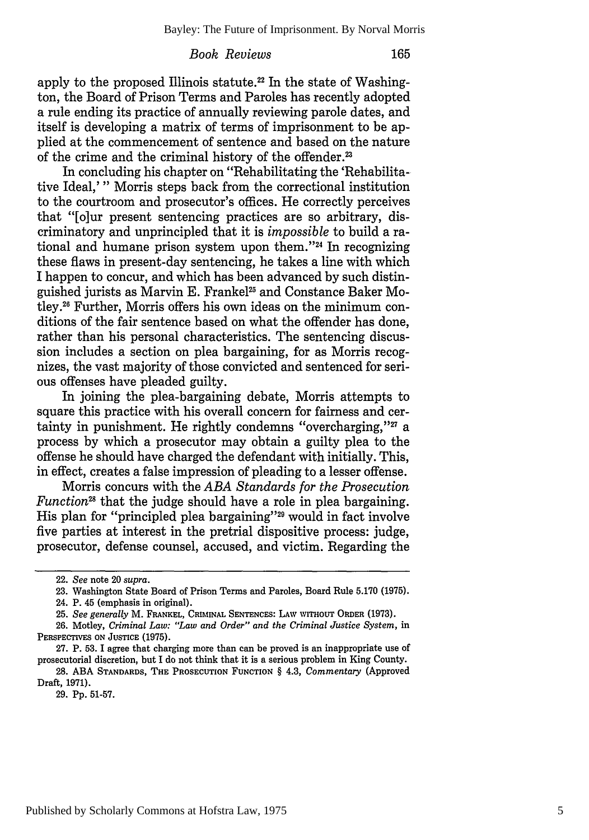#### *Book Reviews*

apply to the proposed Illinois statute.<sup>22</sup> In the state of Washington, the Board of Prison Terms and Paroles has recently adopted a rule ending its practice of annually reviewing parole dates, and itself is developing a matrix of terms of imprisonment to be applied at the commencement of sentence and based on the nature of the crime and the criminal history of the offender.<sup>23</sup>

In concluding his chapter on "Rehabilitating the 'Rehabilitative Ideal,'" Morris steps back from the correctional institution to the courtroom and prosecutor's offices. He correctly perceives that "[o]ur present sentencing practices are so arbitrary, discriminatory and unprincipled that it is *impossible* to build a rational and humane prison system upon them."24 In recognizing these flaws in present-day sentencing, he takes a line with which I happen to concur, and which has been advanced by such distinguished jurists as Marvin E. Frankel25 and Constance Baker Motley.26 Further, Morris offers his own ideas on the minimum conditions of the fair sentence based on what the offender has done, rather than his personal characteristics. The sentencing discussion includes a section on plea bargaining, for as Morris recognizes, the vast majority of those convicted and sentenced for serious offenses have pleaded guilty.

In joining the plea-bargaining debate, Morris attempts to square this practice with his overall concern for fairness and certainty in punishment. He rightly condemns "overcharging,"<sup>27</sup> a process by which a prosecutor may obtain a guilty plea to the offense he should have charged the defendant with initially. This, in effect, creates a false impression of pleading to a lesser offense.

Morris concurs with the *ABA Standards for the Prosecution Function*<sup>28</sup> that the judge should have a role in plea bargaining. His plan for "principled plea bargaining"<sup>29</sup> would in fact involve five parties at interest in the pretrial dispositive process: judge, prosecutor, defense counsel, accused, and victim. Regarding the

<sup>22.</sup> *See* note 20 *supra.*

**<sup>23.</sup>** Washington State Board of Prison Terms and Paroles, Board Rule 5.170 (1975).

<sup>24.</sup> P. 45 (emphasis in original).

<sup>25.</sup> *See generally* M. FRANKEL, CRIMINAL **SENTENCES:** LAW **WITHOUT ORDER** (1973).

<sup>26.</sup> Motley, *Criminal Law: "Law and Order" and the Criminal Justice System,* in PERSPECTIVES **ON JUSTICE (1975).**

**<sup>27.</sup>** P. **53.** I agree that charging more than can be proved is an inappropriate use of prosecutorial discretion, but I do not think that it is a serious problem in King County. **28.** ABA **STANDARDS,** THE **PROSECUTION FUNCTION** § 4.3, *Commentary* (Approved

Draft, 1971).

**<sup>29.</sup>** Pp. 51-57.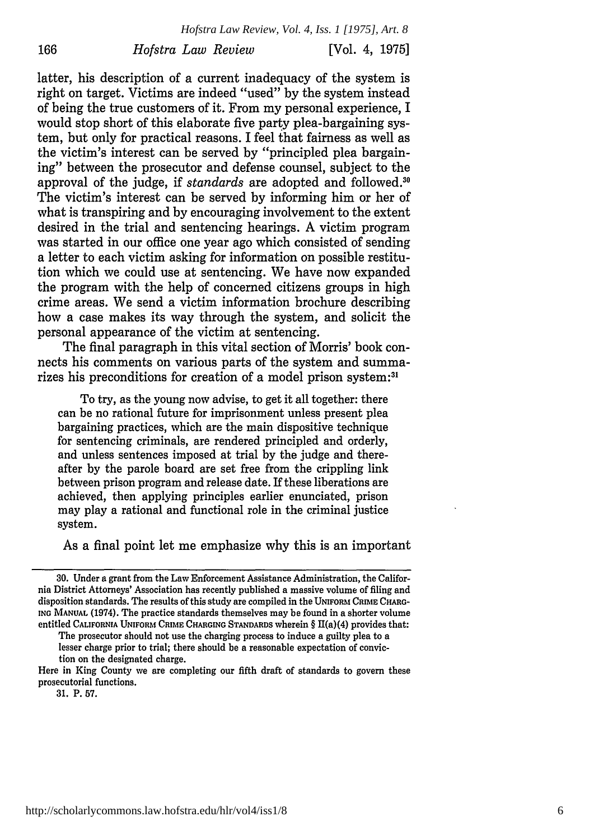latter, his description of a current inadequacy of the system is right on target. Victims are indeed "used" by the system instead of being the true customers of it. From my personal experience, I would stop short of this elaborate five party plea-bargaining system, but only for practical reasons. I feel that fairness as well as the victim's interest can be served by "principled plea bargaining" between the prosecutor and defense counsel, subject to the approval of the judge, if *standards* are adopted and followed.'" The victim's interest can be served by informing him or her of what is transpiring and by encouraging involvement to the extent desired in the trial and sentencing hearings. A victim program was started in our office one year ago which consisted of sending a letter to each victim asking for information on possible restitution which we could use at sentencing. We have now expanded the program with the help of concerned citizens groups in high crime areas. We send a victim information brochure describing how a case makes its way through the system, and solicit the personal appearance of the victim at sentencing.

The final paragraph in this vital section of Morris' book connects his comments on various parts of the system and summarizes his preconditions for creation of a model prison system:<sup>31</sup>

To try, as the young now advise, to get it all together: there can be no rational future for imprisonment unless present plea bargaining practices, which are the main dispositive technique for sentencing criminals, are rendered principled and orderly, and unless sentences imposed at trial by the judge and thereafter by the parole board are set free from the crippling link between prison program and release date. If these liberations are achieved, then applying principles earlier enunciated, prison may play a rational and functional role in the criminal justice system.

As a final point let me emphasize why this is an important

lesser charge prior to trial; there should be a reasonable expectation of conviction on the designated charge.

166

**<sup>30.</sup>** Under a grant from the Law Enforcement Assistance Administration, the California District Attorneys' Association has recently published a massive volume of filing and disposition standards. The results of this study are compiled in the UNIFORM CRIME CHARG-**ING** MANUAL (1974). The practice standards themselves may be found in a shorter volume entitled CALIFORNIA **UNIFORM** CRIME CHARGING STANDARDS wherein § II(a)(4) provides that: The prosecutor should not use the charging process to induce a guilty plea to a

Here in King County we are completing our fifth draft of standards to govern these prosecutorial functions.

**<sup>31.</sup>** P. 57.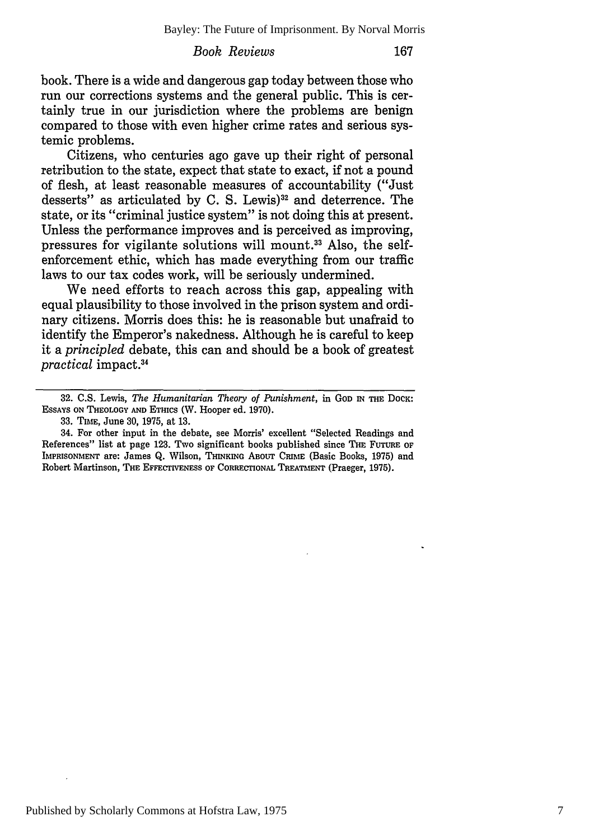167

#### *Book Reviews*

book. There is a wide and dangerous gap today between those who run our corrections systems and the general public. This is certainly true in our jurisdiction where the problems are benign compared to those with even higher crime rates and serious systemic problems.

Citizens, who centuries ago gave up their right of personal retribution to the state, expect that state to exact, if **not** a pound of flesh, at least reasonable measures of accountability ("Just desserts" as articulated by C. S. Lewis)<sup>32</sup> and deterrence. The state, or its "criminal justice system" is not doing this at present. Unless the performance improves and is perceived as improving, pressures for vigilante solutions will mount.33 Also, the selfenforcement ethic, which has made everything from our traffic laws to our tax codes work, will be seriously undermined.

We need efforts to reach across this gap, appealing with equal plausibility to those involved in the prison system and ordinary citizens. Morris does this: he is reasonable but unafraid to identify the Emperor's nakedness. Although he is careful to keep it a *principled* debate, this can and should be a book of greatest *practical* impact. <sup>4</sup>

<sup>32.</sup> **C.S.** Lewis, *The Humanitarian Theory of Punishment,* in **GOD IN THE** DOCK: ESSAYS **ON THEOLOGY AND ETHICS** (W. Hooper ed. 1970).

<sup>33.</sup> TIME, June 30, 1975, at 13.

<sup>34.</sup> For other input in the debate, see Morris' excellent "Selected Readings and References" list at page 123. Two significant books published since THE **FUTURE** OF IMPRISONMENT **are:** James Q. Wilson, **THINKING ABOUT** CIME (Basic Books, 1975) and Robert Martinson, **THE EFFECTIVENESS** OF **CORRECTIONAL** TREATMENT (Praeger, 1975).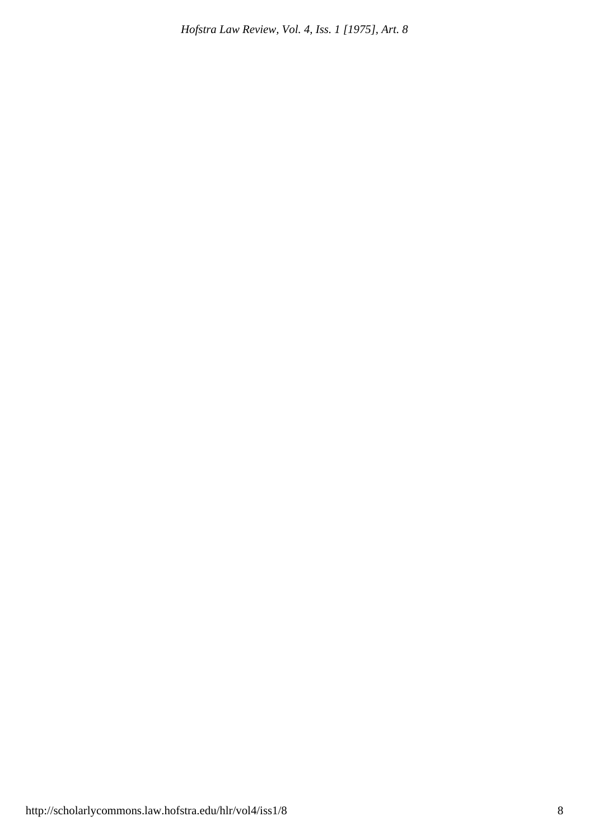*Hofstra Law Review, Vol. 4, Iss. 1 [1975], Art. 8*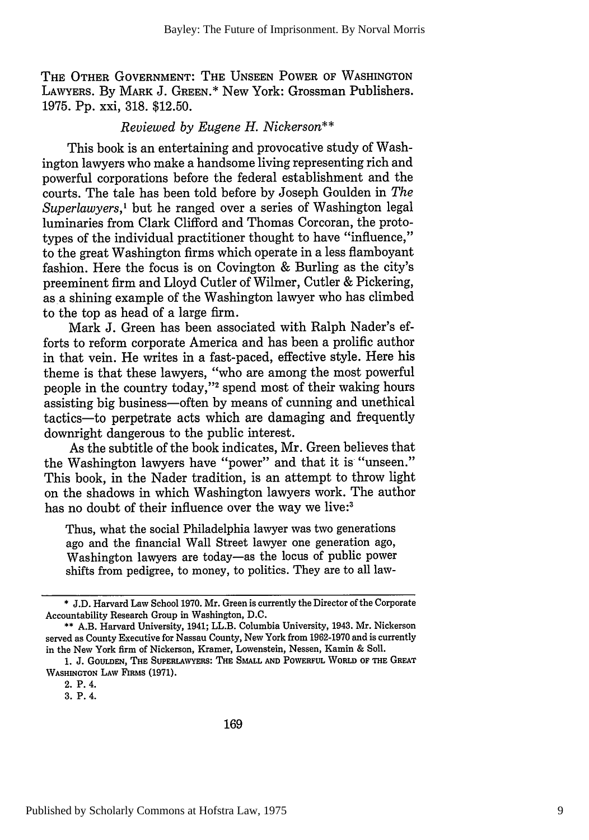THE OTHER GOVERNMENT: THE UNSEEN POWER OF WASHINGTON LAWYERS. By MARK J. GREEN.\* New York: Grossman Publishers. 1975. Pp. xxi, 318. \$12.50.

#### *Reviewed by Eugene H. Nickerson\*\**

This book is an entertaining and provocative study of Washington lawyers who make a handsome living representing rich and powerful corporations before the federal establishment and the courts. The tale has been told before by Joseph Goulden in *The Superlawyers,'* but he ranged over a series of Washington legal luminaries from Clark Clifford and Thomas Corcoran, the prototypes of the individual practitioner thought to have "influence," to the great Washington firms which operate in a less flamboyant fashion. Here the focus is on Covington & Burling as the city's preeminent firm and Lloyd Cutler of Wilmer, Cutler & Pickering, as a shining example of the Washington lawyer who has climbed to the top as head of a large firm.

Mark J. Green has been associated with Ralph Nader's efforts to reform corporate America and has been a prolific author in that vein. He writes in a fast-paced, effective style. Here his theme is that these lawyers, "who are among the most powerful people in the country today,"'2 spend most of their waking hours assisting big business-often by means of cunning and unethical tactics-to perpetrate acts which are damaging and frequently downright dangerous to the public interest.

As the subtitle of the book indicates, Mr. Green believes that the Washington lawyers have "power" and that it is "unseen." This book, in the Nader tradition, is an attempt to throw light on the shadows in which Washington lawyers work. The author has no doubt of their influence over the way we live:<sup>3</sup>

Thus, what the social Philadelphia lawyer was two generations ago and the financial Wall Street lawyer one generation ago, Washington lawyers are today-as the locus of public power shifts from pedigree, to money, to politics. They are to all law-

<sup>\*</sup> J.D. Harvard Law School 1970. Mr. Green is currently the Director of the Corporate Accountability Research Group in Washington, D.C.

<sup>\*\*</sup> A.B. Harvard University, 1941; LL.B. Columbia University, 1943. Mr. Nickerson served as County Executive for Nassau County, New York from 1962-1970 and is currently in the New York firm of Nickerson, Kramer, Lowenstein, Nessen, Kamin & Soll.

**<sup>1.</sup>** J. **GoULDEN, THE** SUPERLAWYERS: **THE SMALL AND** POWERFUL WORLD **OF THE GREAT WASHINGTON** LAW **FIRMS (1971).**

<sup>2.</sup> P. 4.

<sup>3.</sup> P. 4.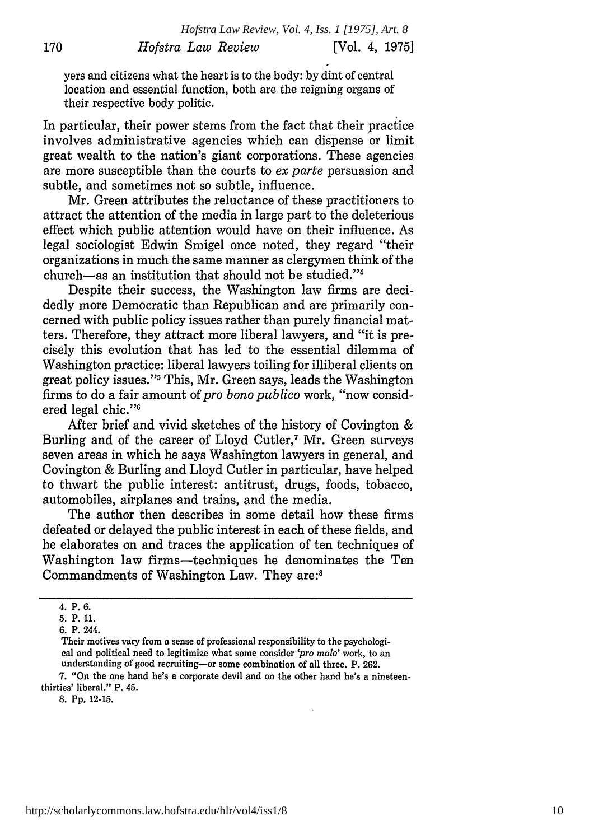yers and citizens what the heart is to the body: by dint of central location and essential function, both are the reigning organs of their respective body politic.

In particular, their power stems from the fact that their practice involves administrative agencies which can dispense or limit great wealth to the nation's giant corporations. These agencies are more susceptible than the courts to *ex parte* persuasion and subtle, and sometimes not so subtle, influence.

Mr. Green attributes the reluctance of these practitioners to attract the attention of the media in large part to the deleterious effect which public attention would have on their influence. As legal sociologist Edwin Smigel once noted, they regard "their organizations in much the same manner as clergymen think of the church-as an institution that should not be studied."4

Despite their success, the Washington law firms are decidedly more Democratic than Republican and are primarily concerned with public policy issues rather than purely financial matters. Therefore, they attract more liberal lawyers, and "it is precisely this evolution that has led to the essential dilemma of Washington practice: liberal lawyers toiling for illiberal clients on great policy issues."5 This, Mr. Green says, leads the Washington firms to do a fair amount of *pro bono publico* work, "now considered legal chic."<sup>6</sup>

After brief and vivid sketches of the history of Covington & Burling and of the career of Lloyd Cutler,<sup>7</sup> Mr. Green surveys seven areas in which he says Washington lawyers in general, and Covington & Burling and Lloyd Cutler in particular, have helped to thwart the public interest: antitrust, drugs, foods, tobacco, automobiles, airplanes and trains, and the media.

The author then describes in some detail how these firms defeated or delayed the public interest in each of these fields, and he elaborates on and traces the application of ten techniques of Washington law firms-techniques he denominates the Ten Commandments of Washington Law. They are:<sup>8</sup>

7. "On the one hand he's a corporate devil and on the other hand he's a nineteenthirties' liberal." P. 45.

170

<sup>4.</sup> P. 6.

<sup>5.</sup> P. 11.

<sup>6.</sup> P. 244.

Their motives vary from a sense of professional responsibility to the psychological and political need to legitimize what some consider *'pro malo'* work, to an understanding of good recruiting-or some combination of all three. P. 262.

<sup>8.</sup> Pp. 12-15.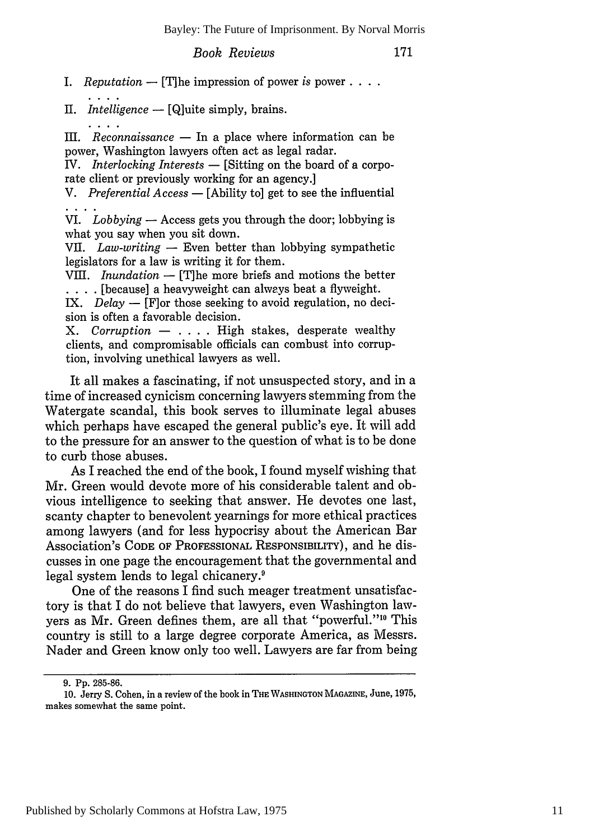*I. Reputation*  $-$  [T]he impression of power *is* power  $\ldots$ .

*II. Intelligence* - [Q]uite simply, brains.

III. *Reconnaissance*  $-$  In a place where information can be power, Washington lawyers often act as legal radar.

IV. *Interlocking Interests* — [Sitting on the board of a corporate client or previously working for an agency.]

*V. Preferential Access* — [Ability to] get to see the influential  $\mathbf{r}$ 

VI. *Lobbying* — Access gets you through the door; lobbying is what you say when you sit down.

VII. *Law-writing* - Even better than lobbying sympathetic legislators for a law is writing it for them.

*VIII. Inundation* - [T]he more briefs and motions the better **... .**[because] a heavyweight can always beat a flyweight.

IX. *Delay* - [F]or those seeking to avoid regulation, no decision is often a favorable decision.

X. Corruption  $-$  . . . . High stakes, desperate wealthy clients, and compromisable officials can combust into corruption, involving unethical lawyers as well.

It all makes a fascinating, if not unsuspected story, and in a time of increased cynicism concerning lawyers stemming from the Watergate scandal, this book serves to illuminate legal abuses which perhaps have escaped the general public's eye. It will add to the pressure for an answer to the question of what is to be done to curb those abuses.

As I reached the end of the book, I found myself wishing that Mr. Green would devote more of his considerable talent and obvious intelligence to seeking that answer. He devotes one last, scanty chapter to benevolent yearnings for more ethical practices among lawyers (and for less hypocrisy about the American Bar Association's CODE OF PROFESSIONAL RESPONSIBILITY), and he discusses in one page the encouragement that the governmental and legal system lends to legal chicanery.<sup>9</sup>

One of the reasons I find such meager treatment unsatisfactory is that I do not believe that lawyers, even Washington lawyers as Mr. Green defines them, are all that "powerful.""0 This country is still to a large degree corporate America, as Messrs. Nader and Green know only too well. Lawyers are far from being

<sup>9.</sup> Pp. 285-86.

**<sup>10.</sup>** Jerry **S.** Cohen, in a review of the book in THE WASHINGTON MAGAZINE, June, **1975,** makes somewhat the same point.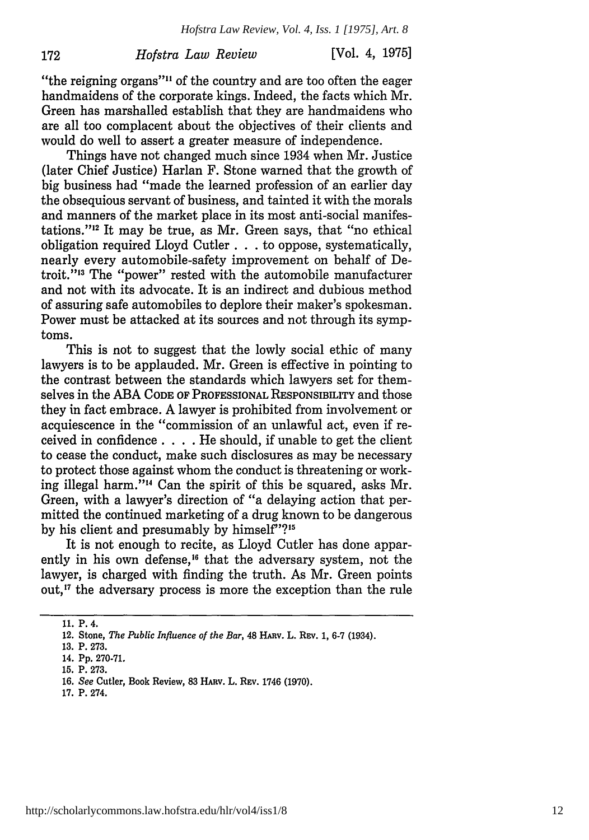#### 172 *Hofstra Law Review*

[Vol. 4, **1975]**

"the reigning organs"<sup>11</sup> of the country and are too often the eager handmaidens of the corporate kings. Indeed, the facts which Mr. Green has marshalled establish that they are handmaidens who are all too complacent about the objectives of their clients and would do well to assert a greater measure of independence.

Things have not changed much since 1934 when Mr. Justice (later Chief Justice) Harlan F. Stone warned that the growth of big business had "made the learned profession of an earlier day the obsequious servant of business, and tainted it with the morals and manners of the market place in its most anti-social manifestations."<sup>12</sup> It may be true, as Mr. Green says, that "no ethical obligation required Lloyd Cutler **. .** . to oppose, systematically, nearly every automobile-safety improvement on behalf of Detroit."<sup>13</sup> The "power" rested with the automobile manufacturer and not with its advocate. It is an indirect and dubious method of assuring safe automobiles to deplore their maker's spokesman. Power must be attacked at its sources and not through its symptoms.

This is not to suggest that the lowly social ethic of many lawyers is to be applauded. Mr. Green is effective in pointing to the contrast between the standards which lawyers set for themselves in the ABA **CODE** OF PROFESSIONAL RESPONSIBILITY and those they in fact embrace. A lawyer is prohibited from involvement or acquiescence in the "commission of an unlawful act, even if received in confidence . **. .** . He should, if unable to get the client to cease the conduct, make such disclosures as may be necessary to protect those against whom the conduct is threatening or working illegal harm."<sup>14</sup> Can the spirit of this be squared, asks Mr. Green, with a lawyer's direction of "a delaying action that permitted the continued marketing of a drug known to be dangerous by his client and presumably by himself"?<sup>15</sup>

It is not enough to recite, as Lloyd Cutler has done apparently in his own defense,<sup>16</sup> that the adversary system, not the lawyer, is charged with finding the truth. As Mr. Green points out,'" the adversary process is more the exception than the rule

**<sup>11.</sup>** P. 4.

<sup>12.</sup> Stone, *The Public Influence of the Bar,* 48 HAv. L. REv. **1, 6-7** (1934).

**<sup>13.</sup>** P. **273.**

<sup>14.</sup> **Pp. 270-71.**

**<sup>15.</sup>** P. **273.**

**<sup>16.</sup>** *See* Cutler, Book Review, **83** HARv. L. REv. 1746 **(1970).**

**<sup>17.</sup>** P. 274.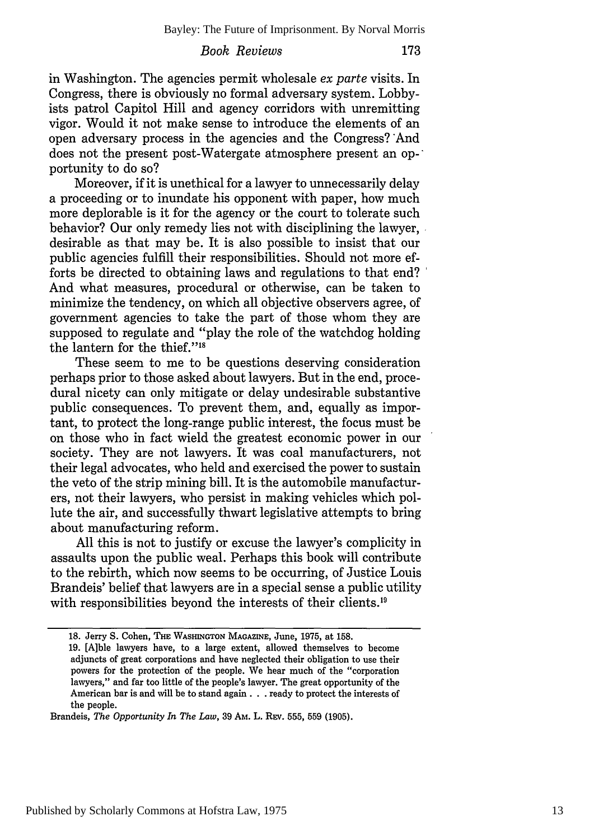173

#### *Book Reviews*

in Washington. The agencies permit wholesale *ex parte* visits. In Congress, there is obviously no formal adversary system. Lobbyists patrol Capitol Hill and agency corridors with unremitting vigor. Would it not make sense to introduce the elements of an open adversary process in the agencies and the Congress? And does not the present post-Watergate atmosphere present an opportunity to do so?

Moreover, if it is unethical for a lawyer to unnecessarily delay a proceeding or to inundate his opponent with paper, how much more deplorable is it for the agency or the court to tolerate such behavior? Our only remedy lies not with disciplining the lawyer, desirable as that may be. It is also possible to insist that our public agencies fulfill their responsibilities. Should not more efforts be directed to obtaining laws and regulations to that end? And what measures, procedural or otherwise, can be taken to minimize the tendency, on which all objective observers agree, of government agencies to take the part of those whom they are supposed to regulate and "play the role of the watchdog holding the lantern for the thief."<sup>18</sup>

These seem to me to be questions deserving consideration perhaps prior to those asked about lawyers. But in the end, procedural nicety can only mitigate or delay undesirable substantive public consequences. To prevent them, and, equally as important, to protect the long-range public interest, the focus must be on those who in fact wield the greatest economic power in our society. They are not lawyers. It was coal manufacturers, not their legal advocates, who held and exercised the power to sustain the veto of the strip mining bill. It is the automobile manufacturers, not their lawyers, who persist in making vehicles which pollute the air, and successfully thwart legislative attempts to bring about manufacturing reform.

All this is not to justify or excuse the lawyer's complicity in assaults upon the public weal. Perhaps this book will contribute to the rebirth, which now seems to be occurring, of Justice Louis Brandeis' belief that lawyers are in a special sense a public utility with responsibilities beyond the interests of their clients.<sup>19</sup>

**<sup>18.</sup>** Jerry S. Cohen, THE **WASHINGTON MAGAZINE,** June, **1975,** at 158. 19. [A]ble lawyers have, to a large extent, allowed themselves to become adjuncts of great corporations and have neglected their obligation to use their powers for the protection of the people. We hear much of the "corporation lawyers," and far too little of the people's lawyer. The great opportunity of the American bar is and will be to stand again. **. .** ready to protect the interests of the people.

Brandeis, *The Opportunity In The Law*, 39 Am. L. REV. 555, 559 (1905).